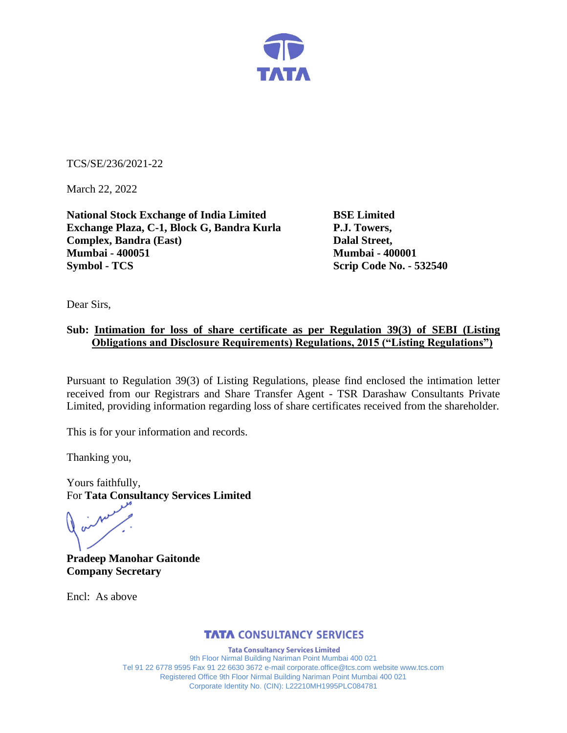

TCS/SE/236/2021-22

March 22, 2022

**National Stock Exchange of India Limited BSE Limited Exchange Plaza, C-1, Block G, Bandra Kurla P.J. Towers, Complex, Bandra (East)** Dalal Street, **Mumbai - 400051 Mumbai - 400001 Symbol - TCS Scrip Code No. - 532540** 

Dear Sirs,

# **Sub: Intimation for loss of share certificate as per Regulation 39(3) of SEBI (Listing Obligations and Disclosure Requirements) Regulations, 2015 ("Listing Regulations")**

Pursuant to Regulation 39(3) of Listing Regulations, please find enclosed the intimation letter received from our Registrars and Share Transfer Agent - TSR Darashaw Consultants Private Limited, providing information regarding loss of share certificates received from the shareholder.

This is for your information and records.

Thanking you,

Yours faithfully, For **Tata Consultancy Services Limited**

**Pradeep Manohar Gaitonde Company Secretary**

Encl: As above

## **TATA CONSULTANCY SERVICES**

**Tata Consultancy Services Limited** 9th Floor Nirmal Building Nariman Point Mumbai 400 021 Tel 91 22 6778 9595 Fax 91 22 6630 3672 e-mail corporate.office@tcs.com website www.tcs.com Registered Office 9th Floor Nirmal Building Nariman Point Mumbai 400 021 Corporate Identity No. (CIN): L22210MH1995PLC084781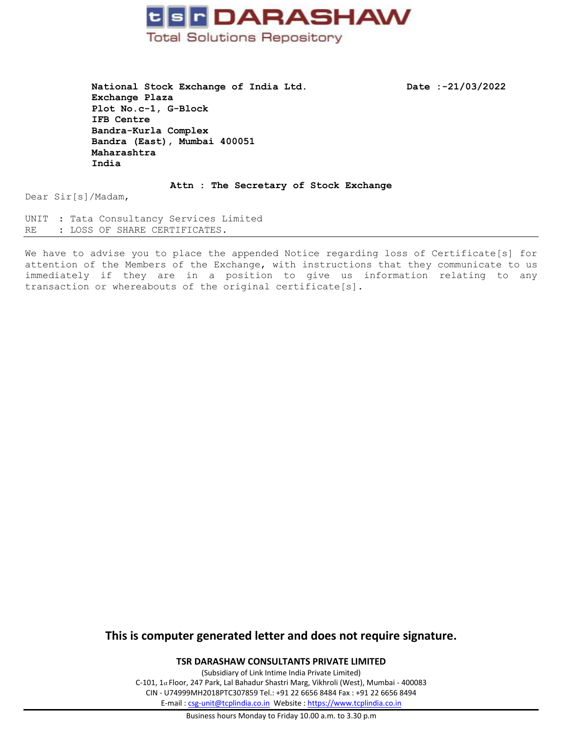

National Stock Exchange of India Ltd. Date :-21/03/2022 **Exchange Plaza Plot No.c-1, G-Block IFB Centre Bandra-Kurla Complex Bandra (East), Mumbai 400051 Maharashtra India**

**Attn : The Secretary of Stock Exchange**

Dear Sir[s]/Madam,

UNIT : Tata Consultancy Services Limited RE : LOSS OF SHARE CERTIFICATES.

We have to advise you to place the appended Notice regarding loss of Certificate[s] for attention of the Members of the Exchange, with instructions that they communicate to us immediately if they are in a position to give us information relating to any transaction or whereabouts of the original certificate[s].

## **This is computer generated letter and does not require signature.**

**TSR DARASHAW CONSULTANTS PRIVATE LIMITED**

(Subsidiary of Link Intime India Private Limited) C-101, 1st Floor, 247 Park, Lal Bahadur Shastri Marg, Vikhroli (West), Mumbai - 400083 CIN - U74999MH2018PTC307859 Tel.: +91 22 6656 8484 Fax : +91 22 6656 8494 E-mail [: csg-unit@tcplindia.co.in](mailto:csg-unit@tcplindia.co.in) Website [: https://www.tcplindia.co.in](https://www.tcplindia.co.in/)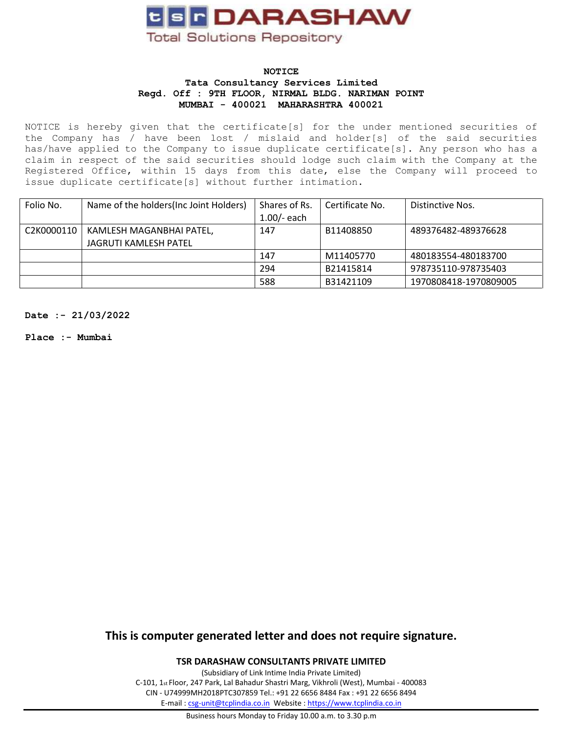

### **NOTICE Tata Consultancy Services Limited Regd. Off : 9TH FLOOR, NIRMAL BLDG. NARIMAN POINT MUMBAI - 400021 MAHARASHTRA 400021**

NOTICE is hereby given that the certificate[s] for the under mentioned securities of the Company has / have been lost / mislaid and holder[s] of the said securities has/have applied to the Company to issue duplicate certificate[s]. Any person who has a claim in respect of the said securities should lodge such claim with the Company at the Registered Office, within 15 days from this date, else the Company will proceed to issue duplicate certificate[s] without further intimation.

| Folio No.  | Name of the holders (Inc Joint Holders)                  | Shares of Rs.<br>1.00/- each | Certificate No. | Distinctive Nos.      |
|------------|----------------------------------------------------------|------------------------------|-----------------|-----------------------|
| C2K0000110 | KAMLESH MAGANBHAI PATEL,<br><b>JAGRUTI KAMLESH PATEL</b> | 147                          | B11408850       | 489376482-489376628   |
|            |                                                          | 147                          | M11405770       | 480183554-480183700   |
|            |                                                          | 294                          | B21415814       | 978735110-978735403   |
|            |                                                          | 588                          | B31421109       | 1970808418-1970809005 |

**Date :- 21/03/2022**

**Place :- Mumbai**

**This is computer generated letter and does not require signature.**

**TSR DARASHAW CONSULTANTS PRIVATE LIMITED**

(Subsidiary of Link Intime India Private Limited) C-101, 1st Floor, 247 Park, Lal Bahadur Shastri Marg, Vikhroli (West), Mumbai - 400083 CIN - U74999MH2018PTC307859 Tel.: +91 22 6656 8484 Fax : +91 22 6656 8494 E-mail [: csg-unit@tcplindia.co.in](mailto:csg-unit@tcplindia.co.in) Website [: https://www.tcplindia.co.in](https://www.tcplindia.co.in/)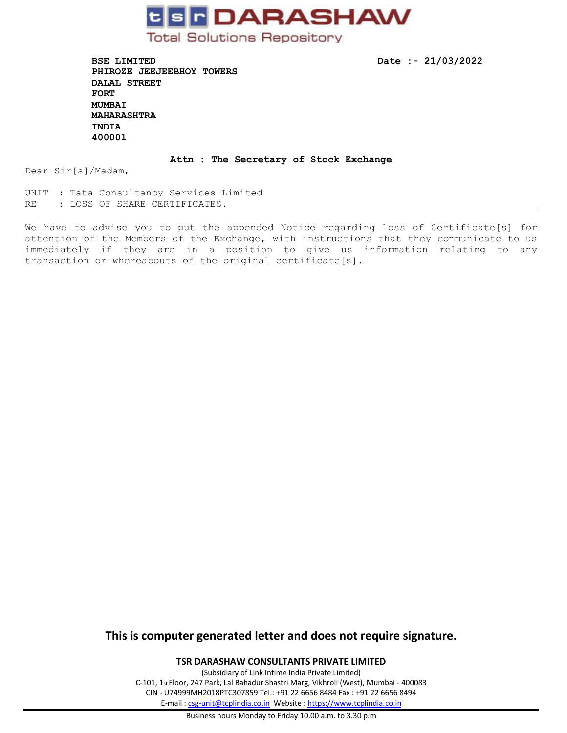

**BSE LIMITED** Date :- 21/03/2022 **PHIROZE JEEJEEBHOY TOWERS DALAL STREET FORT MUMBAI MAHARASHTRA INDIA 400001** 

#### **Attn : The Secretary of Stock Exchange**

Dear Sir[s]/Madam,

UNIT : Tata Consultancy Services Limited RE : LOSS OF SHARE CERTIFICATES.

We have to advise you to put the appended Notice regarding loss of Certificate[s] for attention of the Members of the Exchange, with instructions that they communicate to us immediately if they are in a position to give us information relating to any transaction or whereabouts of the original certificate[s].

## **This is computer generated letter and does not require signature.**

**TSR DARASHAW CONSULTANTS PRIVATE LIMITED**

(Subsidiary of Link Intime India Private Limited) C-101, 1st Floor, 247 Park, Lal Bahadur Shastri Marg, Vikhroli (West), Mumbai - 400083 CIN - U74999MH2018PTC307859 Tel.: +91 22 6656 8484 Fax : +91 22 6656 8494 E-mail [: csg-unit@tcplindia.co.in](mailto:csg-unit@tcplindia.co.in) Website [: https://www.tcplindia.co.in](https://www.tcplindia.co.in/)